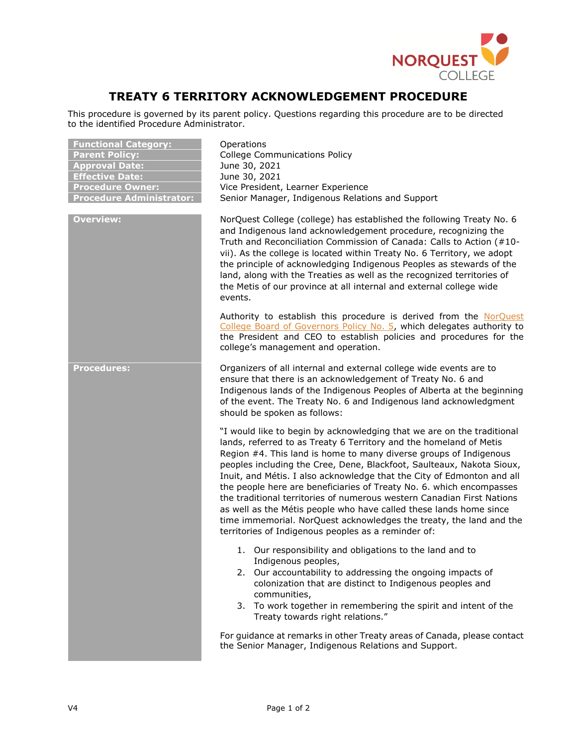

## **TREATY 6 TERRITORY ACKNOWLEDGEMENT PROCEDURE**

This procedure is governed by its parent policy. Questions regarding this procedure are to be directed to the identified Procedure Administrator.

| <b>Functional Category:</b><br><b>Parent Policy:</b><br><b>Approval Date:</b><br><b>Effective Date:</b><br><b>Procedure Owner:</b><br><b>Procedure Administrator:</b> | Operations<br><b>College Communications Policy</b><br>June 30, 2021<br>June 30, 2021<br>Vice President, Learner Experience<br>Senior Manager, Indigenous Relations and Support                                                                                                                                                                                                                                                                                                                                                                                                                                                                                                                                             |
|-----------------------------------------------------------------------------------------------------------------------------------------------------------------------|----------------------------------------------------------------------------------------------------------------------------------------------------------------------------------------------------------------------------------------------------------------------------------------------------------------------------------------------------------------------------------------------------------------------------------------------------------------------------------------------------------------------------------------------------------------------------------------------------------------------------------------------------------------------------------------------------------------------------|
| <b>Overview:</b>                                                                                                                                                      | NorQuest College (college) has established the following Treaty No. 6<br>and Indigenous land acknowledgement procedure, recognizing the<br>Truth and Reconciliation Commission of Canada: Calls to Action (#10-<br>vii). As the college is located within Treaty No. 6 Territory, we adopt<br>the principle of acknowledging Indigenous Peoples as stewards of the<br>land, along with the Treaties as well as the recognized territories of<br>the Metis of our province at all internal and external college wide<br>events.                                                                                                                                                                                             |
|                                                                                                                                                                       | Authority to establish this procedure is derived from the NorQuest<br>College Board of Governors Policy No. 5, which delegates authority to<br>the President and CEO to establish policies and procedures for the<br>college's management and operation.                                                                                                                                                                                                                                                                                                                                                                                                                                                                   |
| <b>Procedures:</b>                                                                                                                                                    | Organizers of all internal and external college wide events are to<br>ensure that there is an acknowledgement of Treaty No. 6 and<br>Indigenous lands of the Indigenous Peoples of Alberta at the beginning<br>of the event. The Treaty No. 6 and Indigenous land acknowledgment<br>should be spoken as follows:                                                                                                                                                                                                                                                                                                                                                                                                           |
|                                                                                                                                                                       | "I would like to begin by acknowledging that we are on the traditional<br>lands, referred to as Treaty 6 Territory and the homeland of Metis<br>Region #4. This land is home to many diverse groups of Indigenous<br>peoples including the Cree, Dene, Blackfoot, Saulteaux, Nakota Sioux,<br>Inuit, and Métis. I also acknowledge that the City of Edmonton and all<br>the people here are beneficiaries of Treaty No. 6. which encompasses<br>the traditional territories of numerous western Canadian First Nations<br>as well as the Métis people who have called these lands home since<br>time immemorial. NorQuest acknowledges the treaty, the land and the<br>territories of Indigenous peoples as a reminder of: |
|                                                                                                                                                                       | 1. Our responsibility and obligations to the land and to<br>Indigenous peoples,<br>2. Our accountability to addressing the ongoing impacts of<br>colonization that are distinct to Indigenous peoples and<br>communities,<br>3. To work together in remembering the spirit and intent of the<br>Treaty towards right relations."                                                                                                                                                                                                                                                                                                                                                                                           |
|                                                                                                                                                                       | For guidance at remarks in other Treaty areas of Canada, please contact<br>the Senior Manager, Indigenous Relations and Support.                                                                                                                                                                                                                                                                                                                                                                                                                                                                                                                                                                                           |